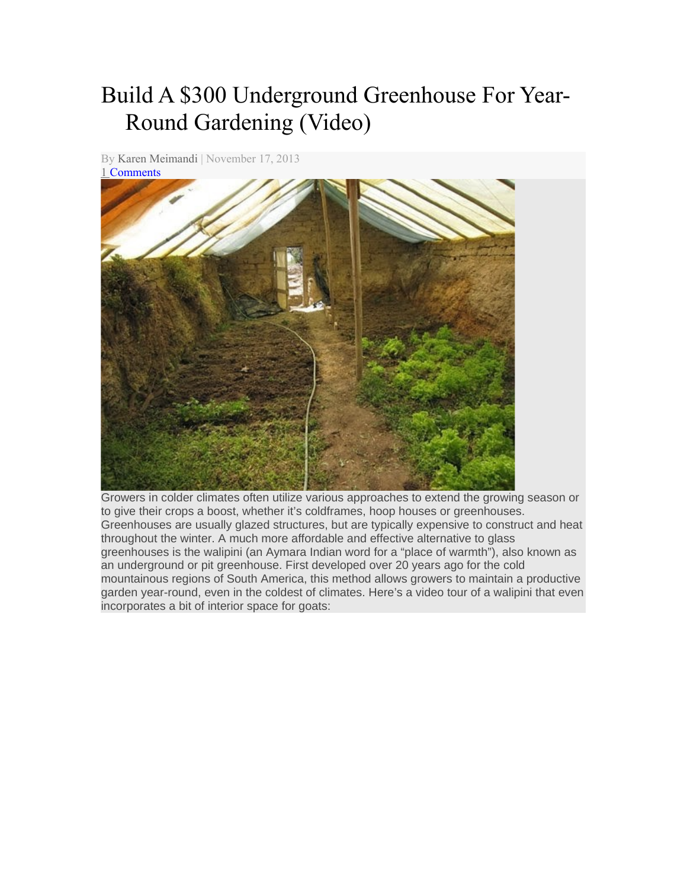## Build A \$300 Underground Greenhouse For Year-Round Gardening (Video)

By [Karen Meimandi](http://www.karenstan.net/author/karen-topoliigmail-com/) | November 17, 2013



Growers in colder climates often utilize various approaches to extend the growing season or to give their crops a boost, whether it's coldframes, hoop houses or greenhouses. Greenhouses are usually glazed structures, but are typically expensive to construct and heat throughout the winter. A much more affordable and effective alternative to glass greenhouses is the walipini (an Aymara Indian word for a "place of warmth"), also known as an underground or pit greenhouse. First developed over 20 years ago for the cold mountainous regions of South America, this method allows growers to maintain a productive garden year-round, even in the coldest of climates. Here's a video tour of a walipini that even incorporates a bit of interior space for goats: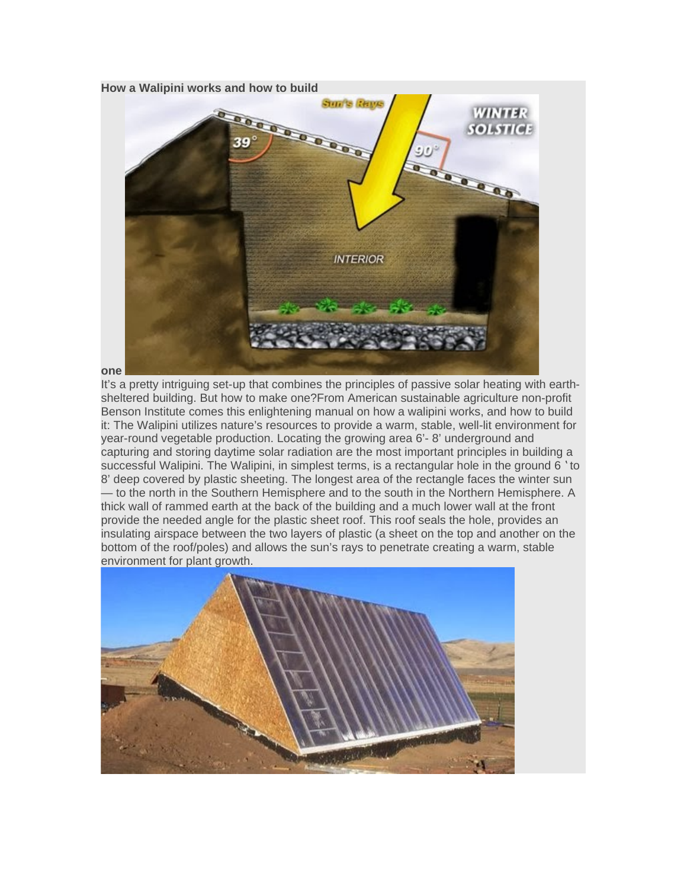

It's a pretty intriguing set-up that combines the principles of passive solar heating with earthsheltered building. But how to make one?From American sustainable agriculture non-profit Benson Institute comes this enlightening manual on how a walipini works, and how to build it: The Walipini utilizes nature's resources to provide a warm, stable, well-lit environment for year-round vegetable production. Locating the growing area 6'- 8' underground and capturing and storing daytime solar radiation are the most important principles in building a successful Walipini. The Walipini, in simplest terms, is a rectangular hole in the ground 6 'to 8' deep covered by plastic sheeting. The longest area of the rectangle faces the winter sun — to the north in the Southern Hemisphere and to the south in the Northern Hemisphere. A thick wall of rammed earth at the back of the building and a much lower wall at the front provide the needed angle for the plastic sheet roof. This roof seals the hole, provides an insulating airspace between the two layers of plastic (a sheet on the top and another on the bottom of the roof/poles) and allows the sun's rays to penetrate creating a warm, stable environment for plant growth.